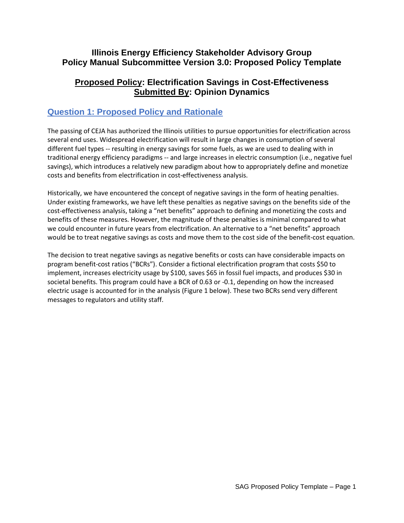### **Illinois Energy Efficiency Stakeholder Advisory Group Policy Manual Subcommittee Version 3.0: Proposed Policy Template**

### **Proposed Policy: Electrification Savings in Cost-Effectiveness Submitted By: Opinion Dynamics**

# **Question 1: Proposed Policy and Rationale**

The passing of CEJA has authorized the Illinois utilities to pursue opportunities for electrification across several end uses. Widespread electrification will result in large changes in consumption of several different fuel types -- resulting in energy savings for some fuels, as we are used to dealing with in traditional energy efficiency paradigms -- and large increases in electric consumption (i.e., negative fuel savings), which introduces a relatively new paradigm about how to appropriately define and monetize costs and benefits from electrification in cost-effectiveness analysis.

Historically, we have encountered the concept of negative savings in the form of heating penalties. Under existing frameworks, we have left these penalties as negative savings on the benefits side of the cost-effectiveness analysis, taking a "net benefits" approach to defining and monetizing the costs and benefits of these measures. However, the magnitude of these penalties is minimal compared to what we could encounter in future years from electrification. An alternative to a "net benefits" approach would be to treat negative savings as costs and move them to the cost side of the benefit-cost equation.

The decision to treat negative savings as negative benefits or costs can have considerable impacts on program benefit-cost ratios ("BCRs"). Consider a fictional electrification program that costs \$50 to implement, increases electricity usage by \$100, saves \$65 in fossil fuel impacts, and produces \$30 in societal benefits. This program could have a BCR of 0.63 or -0.1, depending on how the increased electric usage is accounted for in the analysis (Figure 1 below). These two BCRs send very different messages to regulators and utility staff.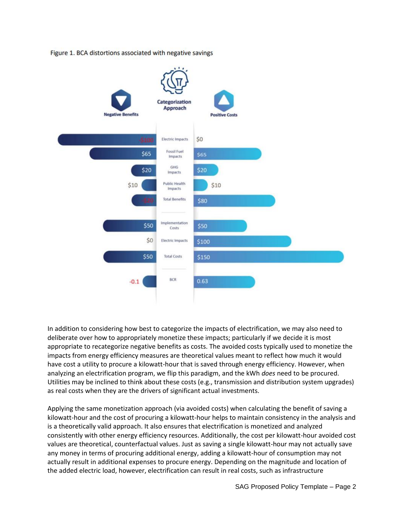

Figure 1. BCA distortions associated with negative savings

In addition to considering how best to categorize the impacts of electrification, we may also need to deliberate over how to appropriately monetize these impacts; particularly if we decide it is most appropriate to recategorize negative benefits as costs. The avoided costs typically used to monetize the impacts from energy efficiency measures are theoretical values meant to reflect how much it would have cost a utility to procure a kilowatt-hour that is saved through energy efficiency. However, when analyzing an electrification program, we flip this paradigm, and the kWh *does* need to be procured. Utilities may be inclined to think about these costs (e.g., transmission and distribution system upgrades) as real costs when they are the drivers of significant actual investments.

Applying the same monetization approach (via avoided costs) when calculating the benefit of saving a kilowatt-hour and the cost of procuring a kilowatt-hour helps to maintain consistency in the analysis and is a theoretically valid approach. It also ensures that electrification is monetized and analyzed consistently with other energy efficiency resources. Additionally, the cost per kilowatt-hour avoided cost values are theoretical, counterfactual values. Just as saving a single kilowatt-hour may not actually save any money in terms of procuring additional energy, adding a kilowatt-hour of consumption may not actually result in additional expenses to procure energy. Depending on the magnitude and location of the added electric load, however, electrification can result in real costs, such as infrastructure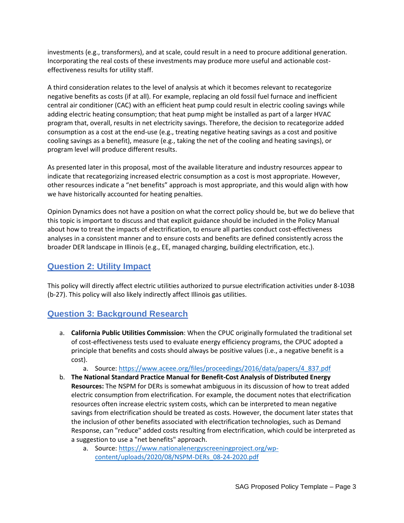investments (e.g., transformers), and at scale, could result in a need to procure additional generation. Incorporating the real costs of these investments may produce more useful and actionable costeffectiveness results for utility staff.

A third consideration relates to the level of analysis at which it becomes relevant to recategorize negative benefits as costs (if at all). For example, replacing an old fossil fuel furnace and inefficient central air conditioner (CAC) with an efficient heat pump could result in electric cooling savings while adding electric heating consumption; that heat pump might be installed as part of a larger HVAC program that, overall, results in net electricity savings. Therefore, the decision to recategorize added consumption as a cost at the end-use (e.g., treating negative heating savings as a cost and positive cooling savings as a benefit), measure (e.g., taking the net of the cooling and heating savings), or program level will produce different results.

As presented later in this proposal, most of the available literature and industry resources appear to indicate that recategorizing increased electric consumption as a cost is most appropriate. However, other resources indicate a "net benefits" approach is most appropriate, and this would align with how we have historically accounted for heating penalties.

Opinion Dynamics does not have a position on what the correct policy should be, but we do believe that this topic is important to discuss and that explicit guidance should be included in the Policy Manual about how to treat the impacts of electrification, to ensure all parties conduct cost-effectiveness analyses in a consistent manner and to ensure costs and benefits are defined consistently across the broader DER landscape in Illinois (e.g., EE, managed charging, building electrification, etc.).

## **Question 2: Utility Impact**

This policy will directly affect electric utilities authorized to pursue electrification activities under 8-103B (b-27). This policy will also likely indirectly affect Illinois gas utilities.

### **Question 3: Background Research**

a. **California Public Utilities Commission**: When the CPUC originally formulated the traditional set of cost-effectiveness tests used to evaluate energy efficiency programs, the CPUC adopted a principle that benefits and costs should always be positive values (i.e., a negative benefit is a cost).

a. Source: [https://www.aceee.org/files/proceedings/2016/data/papers/4\\_837.pdf](https://www.aceee.org/files/proceedings/2016/data/papers/4_837.pdf)

- b. **The National Standard Practice Manual for Benefit-Cost Analysis of Distributed Energy Resources:** The NSPM for DERs is somewhat ambiguous in its discussion of how to treat added electric consumption from electrification. For example, the document notes that electrification resources often increase electric system costs, which can be interpreted to mean negative savings from electrification should be treated as costs. However, the document later states that the inclusion of other benefits associated with electrification technologies, such as Demand Response, can "reduce" added costs resulting from electrification, which could be interpreted as a suggestion to use a "net benefits" approach.
	- a. Source: [https://www.nationalenergyscreeningproject.org/wp](https://www.nationalenergyscreeningproject.org/wp-content/uploads/2020/08/NSPM-DERs_08-24-2020.pdf)[content/uploads/2020/08/NSPM-DERs\\_08-24-2020.pdf](https://www.nationalenergyscreeningproject.org/wp-content/uploads/2020/08/NSPM-DERs_08-24-2020.pdf)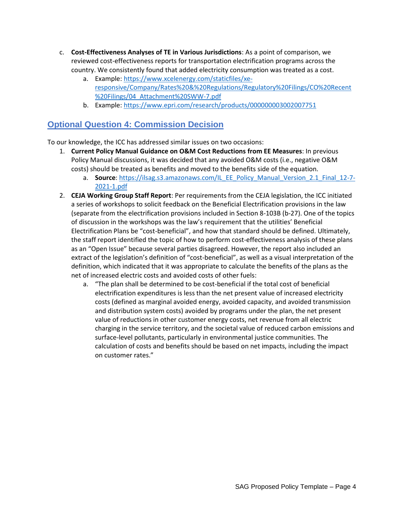- c. **Cost-Effectiveness Analyses of TE in Various Jurisdictions**: As a point of comparison, we reviewed cost-effectiveness reports for transportation electrification programs across the country. We consistently found that added electricity consumption was treated as a cost.
	- a. Example: [https://www.xcelenergy.com/staticfiles/xe](https://www.xcelenergy.com/staticfiles/xe-responsive/Company/Rates%20&%20Regulations/Regulatory%20Filings/CO%20Recent%20Filings/04_Attachment%20SWW-7.pdf)[responsive/Company/Rates%20&%20Regulations/Regulatory%20Filings/CO%20Recent](https://www.xcelenergy.com/staticfiles/xe-responsive/Company/Rates%20&%20Regulations/Regulatory%20Filings/CO%20Recent%20Filings/04_Attachment%20SWW-7.pdf) [%20Filings/04\\_Attachment%20SWW-7.pdf](https://www.xcelenergy.com/staticfiles/xe-responsive/Company/Rates%20&%20Regulations/Regulatory%20Filings/CO%20Recent%20Filings/04_Attachment%20SWW-7.pdf)
	- b. Example:<https://www.epri.com/research/products/000000003002007751>

# **Optional Question 4: Commission Decision**

To our knowledge, the ICC has addressed similar issues on two occasions:

- 1. **Current Policy Manual Guidance on O&M Cost Reductions from EE Measures**: In previous Policy Manual discussions, it was decided that any avoided O&M costs (i.e., negative O&M costs) should be treated as benefits and moved to the benefits side of the equation.
	- a. **Source**: [https://ilsag.s3.amazonaws.com/IL\\_EE\\_Policy\\_Manual\\_Version\\_2.1\\_Final\\_12-7-](https://ilsag.s3.amazonaws.com/IL_EE_Policy_Manual_Version_2.1_Final_12-7-2021-1.pdf) [2021-1.pdf](https://ilsag.s3.amazonaws.com/IL_EE_Policy_Manual_Version_2.1_Final_12-7-2021-1.pdf)
- 2. **CEJA Working Group Staff Report**: Per requirements from the CEJA legislation, the ICC initiated a series of workshops to solicit feedback on the Beneficial Electrification provisions in the law (separate from the electrification provisions included in Section 8-103B (b-27). One of the topics of discussion in the workshops was the law's requirement that the utilities' Beneficial Electrification Plans be "cost-beneficial", and how that standard should be defined. Ultimately, the staff report identified the topic of how to perform cost-effectiveness analysis of these plans as an "Open Issue" because several parties disagreed. However, the report also included an extract of the legislation's definition of "cost-beneficial", as well as a visual interpretation of the definition, which indicated that it was appropriate to calculate the benefits of the plans as the net of increased electric costs and avoided costs of other fuels:
	- a. "The plan shall be determined to be cost-beneficial if the total cost of beneficial electrification expenditures is less than the net present value of increased electricity costs (defined as marginal avoided energy, avoided capacity, and avoided transmission and distribution system costs) avoided by programs under the plan, the net present value of reductions in other customer energy costs, net revenue from all electric charging in the service territory, and the societal value of reduced carbon emissions and surface-level pollutants, particularly in environmental justice communities. The calculation of costs and benefits should be based on net impacts, including the impact on customer rates."